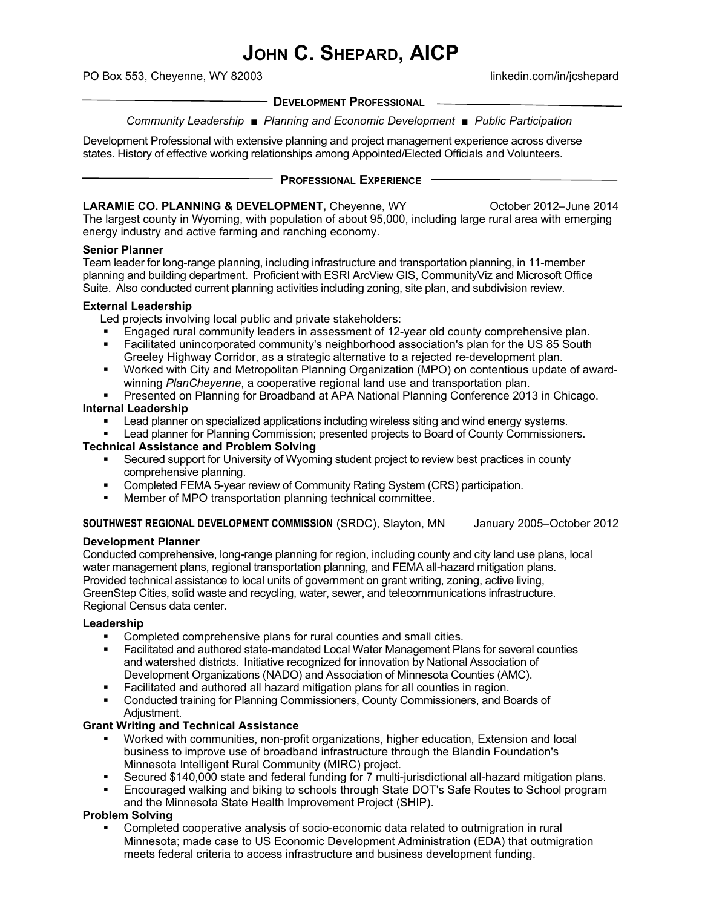# **JOHN C. SHEPARD, AICP**

PO Box 553, Cheyenne, WY 82003 linkedin.com/in/jcshepard

**DEVELOPMENT PROFESSIONAL**

*Community Leadership* ■ *Planning and Economic Development* ■ *Public Participation*

Development Professional with extensive planning and project management experience across diverse states. History of effective working relationships among Appointed/Elected Officials and Volunteers.

#### **PROFESSIONAL EXPERIENCE**

#### **LARAMIE CO. PLANNING & DEVELOPMENT, Cheyenne, WY Correct Contract 2012–June 2014**

The largest county in Wyoming, with population of about 95,000, including large rural area with emerging energy industry and active farming and ranching economy.

#### **Senior Planner**

Team leader for long-range planning, including infrastructure and transportation planning, in 11-member planning and building department. Proficient with ESRI ArcView GIS, CommunityViz and Microsoft Office Suite. Also conducted current planning activities including zoning, site plan, and subdivision review.

#### **External Leadership**

Led projects involving local public and private stakeholders:

- Engaged rural community leaders in assessment of 12-year old county comprehensive plan.
- Facilitated unincorporated community's neighborhood association's plan for the US 85 South Greeley Highway Corridor, as a strategic alternative to a rejected re-development plan.
- Worked with City and Metropolitan Planning Organization (MPO) on contentious update of awardwinning *PlanCheyenne*, a cooperative regional land use and transportation plan.
- Presented on Planning for Broadband at APA National Planning Conference 2013 in Chicago.

#### **Internal Leadership**

- Lead planner on specialized applications including wireless siting and wind energy systems.
- **Example 20 Fead planning Commission**; presented projects to Board of County Commissioners. **Technical Assistance and Problem Solving**
	- Secured support for University of Wyoming student project to review best practices in county comprehensive planning.
	- **Completed FEMA 5-year review of Community Rating System (CRS) participation.**
	- Member of MPO transportation planning technical committee.

#### **SOUTHWEST REGIONAL DEVELOPMENT COMMISSION** (SRDC), Slayton, MN January 2005–October 2012

## **Development Planner**

Conducted comprehensive, long-range planning for region, including county and city land use plans, local water management plans, regional transportation planning, and FEMA all-hazard mitigation plans. Provided technical assistance to local units of government on grant writing, zoning, active living, GreenStep Cities, solid waste and recycling, water, sewer, and telecommunications infrastructure. Regional Census data center.

#### **Leadership**

- Completed comprehensive plans for rural counties and small cities.
- Facilitated and authored state-mandated Local Water Management Plans for several counties and watershed districts. Initiative recognized for innovation by National Association of Development Organizations (NADO) and Association of Minnesota Counties (AMC).
- Facilitated and authored all hazard mitigation plans for all counties in region.
- Conducted training for Planning Commissioners, County Commissioners, and Boards of Adjustment.

## **Grant Writing and Technical Assistance**

- Worked with communities, non-profit organizations, higher education, Extension and local business to improve use of broadband infrastructure through the Blandin Foundation's Minnesota Intelligent Rural Community (MIRC) project.
- Secured \$140,000 state and federal funding for 7 multi-jurisdictional all-hazard mitigation plans.
- Encouraged walking and biking to schools through State DOT's Safe Routes to School program and the Minnesota State Health Improvement Project (SHIP).

## **Problem Solving**

 Completed cooperative analysis of socio-economic data related to outmigration in rural Minnesota; made case to US Economic Development Administration (EDA) that outmigration meets federal criteria to access infrastructure and business development funding.